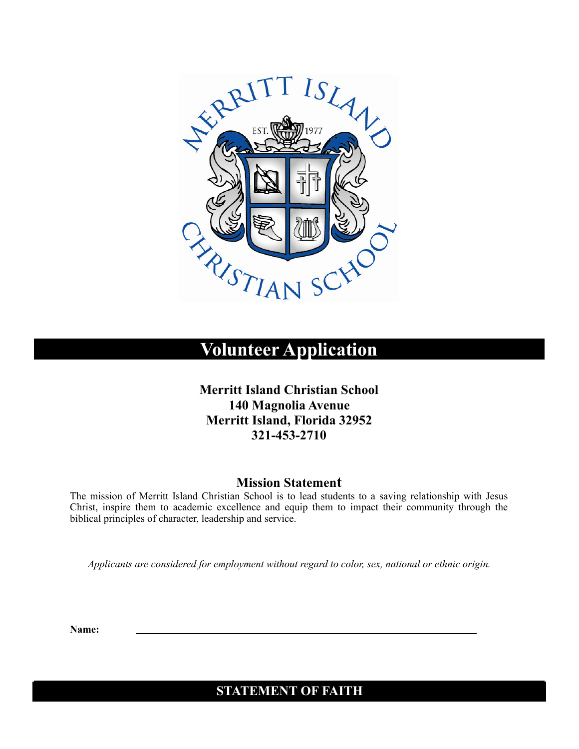

# **Volunteer Application**

**Merritt Island Christian School 140 Magnolia Avenue Merritt Island, Florida 32952 321-453-2710** 

#### **Mission Statement**

The mission of Merritt Island Christian School is to lead students to a saving relationship with Jesus Christ, inspire them to academic excellence and equip them to impact their community through the biblical principles of character, leadership and service.

*Applicants are considered for employment without regard to color, sex, national or ethnic origin.* 

**Name:** 

### **STATEMENT OF FAITH**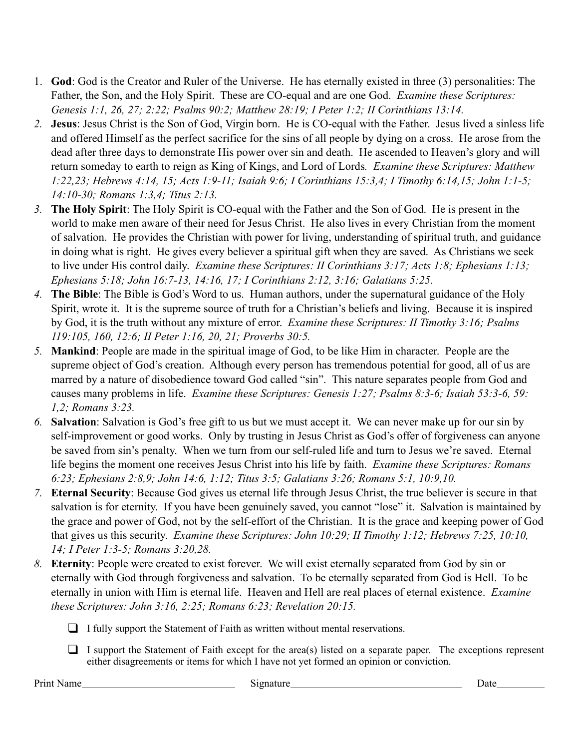- 1. **God**: God is the Creator and Ruler of the Universe. He has eternally existed in three (3) personalities: The Father, the Son, and the Holy Spirit. These are CO-equal and are one God. *Examine these Scriptures: Genesis 1:1, 26, 27; 2:22; Psalms 90:2; Matthew 28:19; I Peter 1:2; II Corinthians 13:14.*
- *2.* **Jesus**: Jesus Christ is the Son of God, Virgin born. He is CO-equal with the Father. Jesus lived a sinless life and offered Himself as the perfect sacrifice for the sins of all people by dying on a cross. He arose from the dead after three days to demonstrate His power over sin and death. He ascended to Heaven's glory and will return someday to earth to reign as King of Kings, and Lord of Lords*. Examine these Scriptures: Matthew 1:22,23; Hebrews 4:14, 15; Acts 1:9-11; Isaiah 9:6; I Corinthians 15:3,4; I Timothy 6:14,15; John 1:1-5; 14:10-30; Romans 1:3,4; Titus 2:13.*
- *3.* **The Holy Spirit**: The Holy Spirit is CO-equal with the Father and the Son of God. He is present in the world to make men aware of their need for Jesus Christ. He also lives in every Christian from the moment of salvation. He provides the Christian with power for living, understanding of spiritual truth, and guidance in doing what is right. He gives every believer a spiritual gift when they are saved. As Christians we seek to live under His control daily. *Examine these Scriptures: II Corinthians 3:17; Acts 1:8; Ephesians 1:13; Ephesians 5:18; John 16:7-13, 14:16, 17; I Corinthians 2:12, 3:16; Galatians 5:25.*
- *4.* **The Bible**: The Bible is God's Word to us. Human authors, under the supernatural guidance of the Holy Spirit, wrote it. It is the supreme source of truth for a Christian's beliefs and living. Because it is inspired by God, it is the truth without any mixture of error. *Examine these Scriptures: II Timothy 3:16; Psalms 119:105, 160, 12:6; II Peter 1:16, 20, 21; Proverbs 30:5.*
- *5.* **Mankind**: People are made in the spiritual image of God, to be like Him in character. People are the supreme object of God's creation. Although every person has tremendous potential for good, all of us are marred by a nature of disobedience toward God called "sin". This nature separates people from God and causes many problems in life. *Examine these Scriptures: Genesis 1:27; Psalms 8:3-6; Isaiah 53:3-6, 59: 1,2; Romans 3:23.*
- *6.* **Salvation**: Salvation is God's free gift to us but we must accept it. We can never make up for our sin by self-improvement or good works. Only by trusting in Jesus Christ as God's offer of forgiveness can anyone be saved from sin's penalty. When we turn from our self-ruled life and turn to Jesus we're saved. Eternal life begins the moment one receives Jesus Christ into his life by faith. *Examine these Scriptures: Romans 6:23; Ephesians 2:8,9; John 14:6, 1:12; Titus 3:5; Galatians 3:26; Romans 5:1, 10:9,10.*
- *7.* **Eternal Security**: Because God gives us eternal life through Jesus Christ, the true believer is secure in that salvation is for eternity. If you have been genuinely saved, you cannot "lose" it. Salvation is maintained by the grace and power of God, not by the self-effort of the Christian. It is the grace and keeping power of God that gives us this security. *Examine these Scriptures: John 10:29; II Timothy 1:12; Hebrews 7:25, 10:10, 14; I Peter 1:3-5; Romans 3:20,28.*
- *8.* **Eternity**: People were created to exist forever. We will exist eternally separated from God by sin or eternally with God through forgiveness and salvation. To be eternally separated from God is Hell. To be eternally in union with Him is eternal life. Heaven and Hell are real places of eternal existence. *Examine these Scriptures: John 3:16, 2:25; Romans 6:23; Revelation 20:15.* 
	- ❑ I fully support the Statement of Faith as written without mental reservations.
	- ❑ I support the Statement of Faith except for the area(s) listed on a separate paper. The exceptions represent either disagreements or items for which I have not yet formed an opinion or conviction.

Print Name
<u>
Date</u>

Date

Date

Date

Date

Date

Date

Date

Date

Date

Date

Date

Date

Date

Date

Date

Date

Date

Date

Date  $\frac{1}{2}$  Date  $\frac{1}{2}$  Date  $\frac{1}{2}$  Date  $\frac{1}{2}$  Date  $\frac{1}{2}$  Date  $\frac{1}{2}$  Dat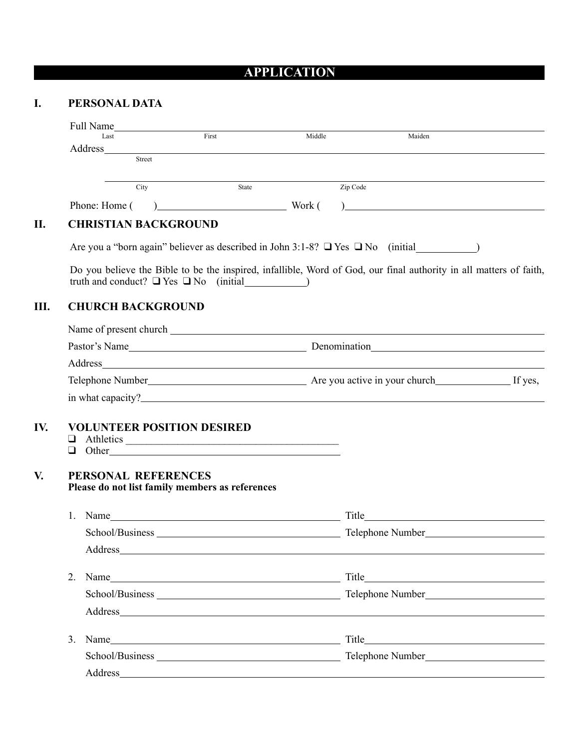## **APPLICATION**

### **I. PERSONAL DATA**

|         |                                                                                                                                                                                                                                | Full Name                         |        |          |                                                                                                                    |
|---------|--------------------------------------------------------------------------------------------------------------------------------------------------------------------------------------------------------------------------------|-----------------------------------|--------|----------|--------------------------------------------------------------------------------------------------------------------|
|         | Last                                                                                                                                                                                                                           | First                             | Middle |          | Maiden                                                                                                             |
| Address | Street                                                                                                                                                                                                                         |                                   |        |          |                                                                                                                    |
|         | City                                                                                                                                                                                                                           | State                             |        | Zip Code |                                                                                                                    |
|         | Phone: Home (                                                                                                                                                                                                                  | $)$ Work (                        |        |          | ) <u>_______________________________</u>                                                                           |
|         | <b>CHRISTIAN BACKGROUND</b>                                                                                                                                                                                                    |                                   |        |          |                                                                                                                    |
|         |                                                                                                                                                                                                                                |                                   |        |          | Are you a "born again" believer as described in John 3:1-8? $\Box$ Yes $\Box$ No (initial)                         |
|         | truth and conduct? $\Box$ Yes $\Box$ No (initial)                                                                                                                                                                              |                                   |        |          | Do you believe the Bible to be the inspired, infallible, Word of God, our final authority in all matters of faith, |
|         | <b>CHURCH BACKGROUND</b>                                                                                                                                                                                                       |                                   |        |          |                                                                                                                    |
|         |                                                                                                                                                                                                                                |                                   |        |          |                                                                                                                    |
|         |                                                                                                                                                                                                                                |                                   |        |          |                                                                                                                    |
|         |                                                                                                                                                                                                                                |                                   |        |          |                                                                                                                    |
|         |                                                                                                                                                                                                                                | Telephone Number<br>If yes,       |        |          |                                                                                                                    |
|         |                                                                                                                                                                                                                                |                                   |        |          |                                                                                                                    |
|         |                                                                                                                                                                                                                                |                                   |        |          |                                                                                                                    |
|         |                                                                                                                                                                                                                                | <b>VOLUNTEER POSITION DESIRED</b> |        |          |                                                                                                                    |
|         |                                                                                                                                                                                                                                |                                   |        |          |                                                                                                                    |
|         |                                                                                                                                                                                                                                |                                   |        |          |                                                                                                                    |
|         | $\Box$ Other                                                                                                                                                                                                                   |                                   |        |          |                                                                                                                    |
|         | PERSONAL REFERENCES                                                                                                                                                                                                            |                                   |        |          |                                                                                                                    |
|         | Please do not list family members as references                                                                                                                                                                                |                                   |        |          |                                                                                                                    |
| 1.      |                                                                                                                                                                                                                                |                                   |        |          |                                                                                                                    |
|         |                                                                                                                                                                                                                                |                                   |        |          |                                                                                                                    |
|         | Address and the contract of the contract of the contract of the contract of the contract of the contract of the contract of the contract of the contract of the contract of the contract of the contract of the contract of th |                                   |        |          |                                                                                                                    |
| 2.      | Name                                                                                                                                                                                                                           |                                   |        |          |                                                                                                                    |
|         |                                                                                                                                                                                                                                |                                   |        |          |                                                                                                                    |
|         |                                                                                                                                                                                                                                |                                   |        |          |                                                                                                                    |
| 3.      |                                                                                                                                                                                                                                |                                   |        |          |                                                                                                                    |
|         |                                                                                                                                                                                                                                |                                   |        |          |                                                                                                                    |